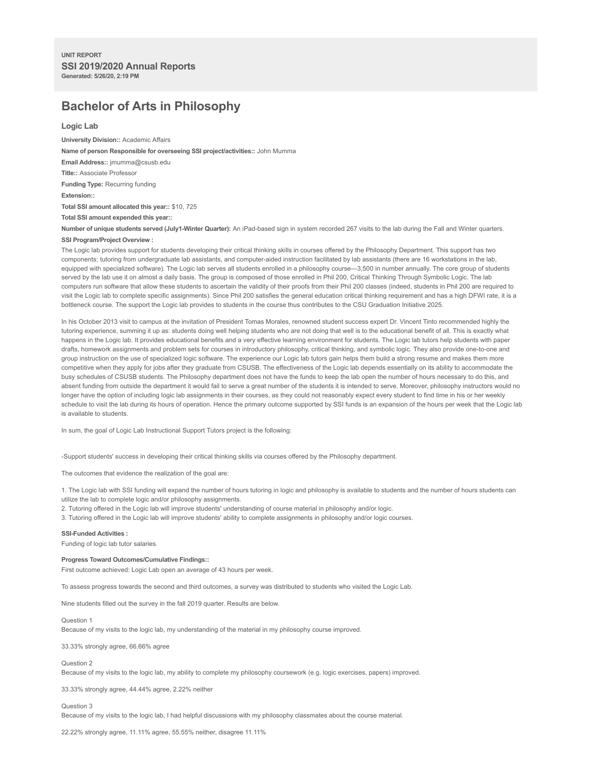# **Bachelor of Arts in Philosophy**

# **Logic Lab**

**University Division::** Academic Affairs **Name of person Responsible for overseeing SSI project/activities::** John Mumma **Email Address::** jmumma@csusb.edu **Title::** Associate Professor **Funding Type:** Recurring funding **Extension:: Total SSI amount allocated this year::** \$10, 725 **Total SSI amount expended this year::**

**Number of unique students served (July1-Winter Quarter):** An iPad-based sign in system recorded 267 visits to the lab during the Fall and Winter quarters. **SSI Program/Project Overview :**

The Logic lab provides support for students developing their critical thinking skills in courses offered by the Philosophy Department. This support has two components: tutoring from undergraduate lab assistants, and computer-aided instruction facilitated by lab assistants (there are 16 workstations in the lab, equipped with specialized software). The Logic lab serves all students enrolled in a philosophy course—3,500 in number annually. The core group of students served by the lab use it on almost a daily basis. The group is composed of those enrolled in Phil 200, Critical Thinking Through Symbolic Logic. The lab computers run software that allow these students to ascertain the validity of their proofs from their Phil 200 classes (indeed, students in Phil 200 are required to visit the Logic lab to complete specific assignments). Since Phil 200 satisfies the general education critical thinking requirement and has a high DFWI rate, it is a bottleneck course. The support the Logic lab provides to students in the course thus contributes to the CSU Graduation Initiative 2025.

In his October 2013 visit to campus at the invitation of President Tomas Morales, renowned student success expert Dr. Vincent Tinto recommended highly the tutoring experience, summing it up as: students doing well helping students who are not doing that well is to the educational benefit of all. This is exactly what happens in the Logic lab. It provides educational benefits and a very effective learning environment for students. The Logic lab tutors help students with paper drafts, homework assignments and problem sets for courses in introductory philosophy, critical thinking, and symbolic logic. They also provide one-to-one and group instruction on the use of specialized logic software. The experience our Logic lab tutors gain helps them build a strong resume and makes them more competitive when they apply for jobs after they graduate from CSUSB. The effectiveness of the Logic lab depends essentially on its ability to accommodate the busy schedules of CSUSB students. The Philosophy department does not have the funds to keep the lab open the number of hours necessary to do this, and absent funding from outside the department it would fail to serve a great number of the students it is intended to serve. Moreover, philosophy instructors would no longer have the option of including logic lab assignments in their courses, as they could not reasonably expect every student to find time in his or her weekly schedule to visit the lab during its hours of operation. Hence the primary outcome supported by SSI funds is an expansion of the hours per week that the Logic lab is available to students.

In sum, the goal of Logic Lab Instructional Support Tutors project is the following:

-Support students' success in developing their critical thinking skills via courses offered by the Philosophy department.

The outcomes that evidence the realization of the goal are:

1. The Logic lab with SSI funding will expand the number of hours tutoring in logic and philosophy is available to students and the number of hours students can utilize the lab to complete logic and/or philosophy assignments.

2. Tutoring offered in the Logic lab will improve students' understanding of course material in philosophy and/or logic.

3. Tutoring offered in the Logic lab will improve students' ability to complete assignments in philosophy and/or logic courses.

## **SSI-Funded Activities :**

Funding of logic lab tutor salaries.

# **Progress Toward Outcomes/Cumulative Findings::**

First outcome achieved: Logic Lab open an average of 43 hours per week.

To assess progress towards the second and third outcomes, a survey was distributed to students who visited the Logic Lab.

Nine students filled out the survey in the fall 2019 quarter. Results are below.

## Question 1

Because of my visits to the logic lab, my understanding of the material in my philosophy course improved.

33.33% strongly agree, 66.66% agree

#### Question 2

Because of my visits to the logic lab, my ability to complete my philosophy coursework (e.g. logic exercises, papers) improved.

33.33% strongly agree, 44.44% agree, 2.22% neither

# Question 3

Because of my visits to the logic lab, I had helpful discussions with my philosophy classmates about the course material.

22.22% strongly agree, 11.11% agree, 55.55% neither, disagree 11.11%